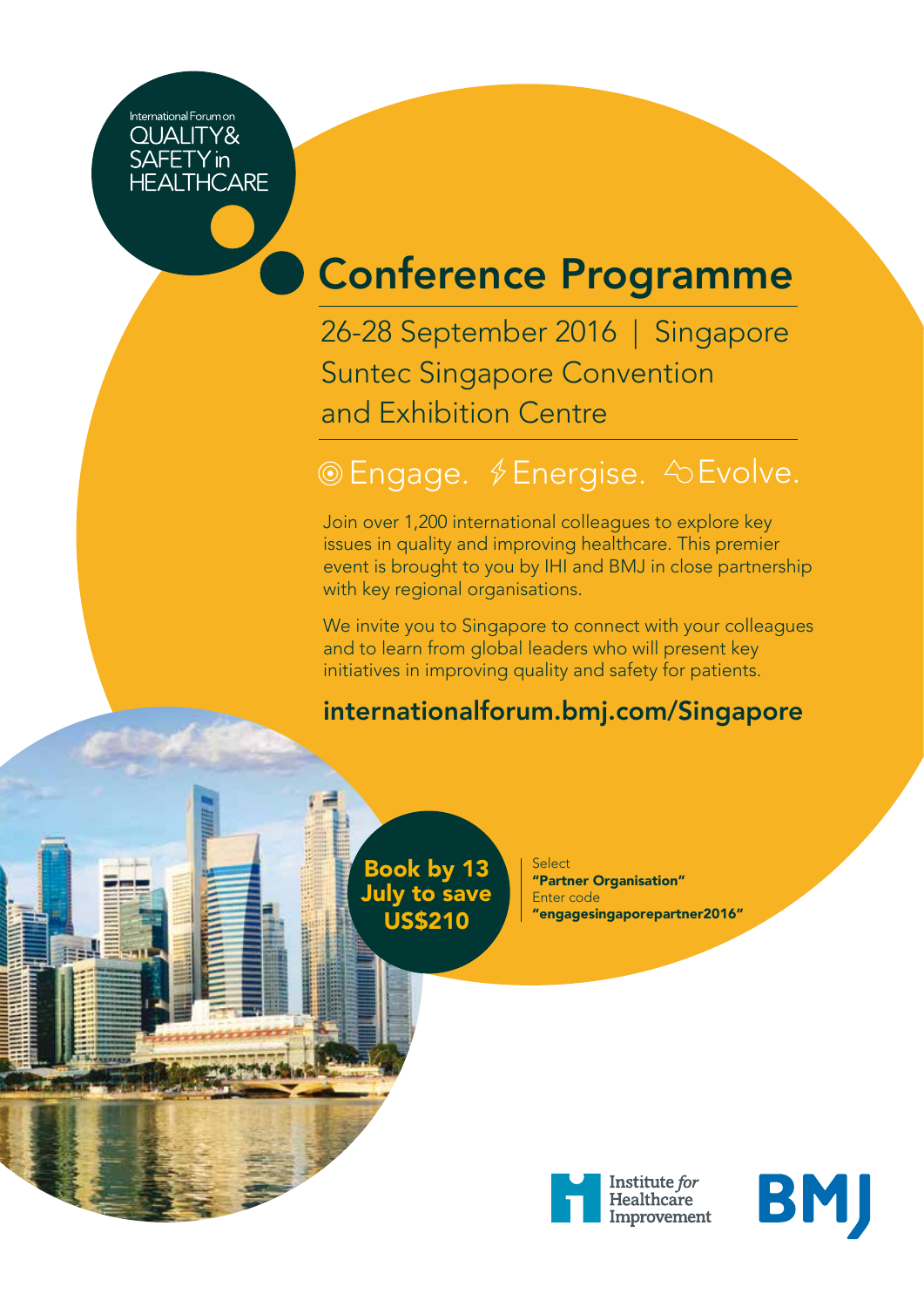International Forum on **QUALITY&** SAFETY in

# Conference Programme

26-28 September 2016 | Singapore Suntec Singapore Convention and Exhibition Centre

### © Engage. *§* Energise.  $\Diamond$  Evolve.

Join over 1,200 international colleagues to explore key issues in quality and improving healthcare. This premier event is brought to you by IHI and BMJ in close partnership with key regional organisations.

We invite you to Singapore to connect with your colleagues and to learn from global leaders who will present key initiatives in improving quality and safety for patients.

#### internationalforum.bmj.com/Singapore



Book by 13 July to save US\$210

Select "Partner Organisation" Enter code "engagesingaporepartner2016"



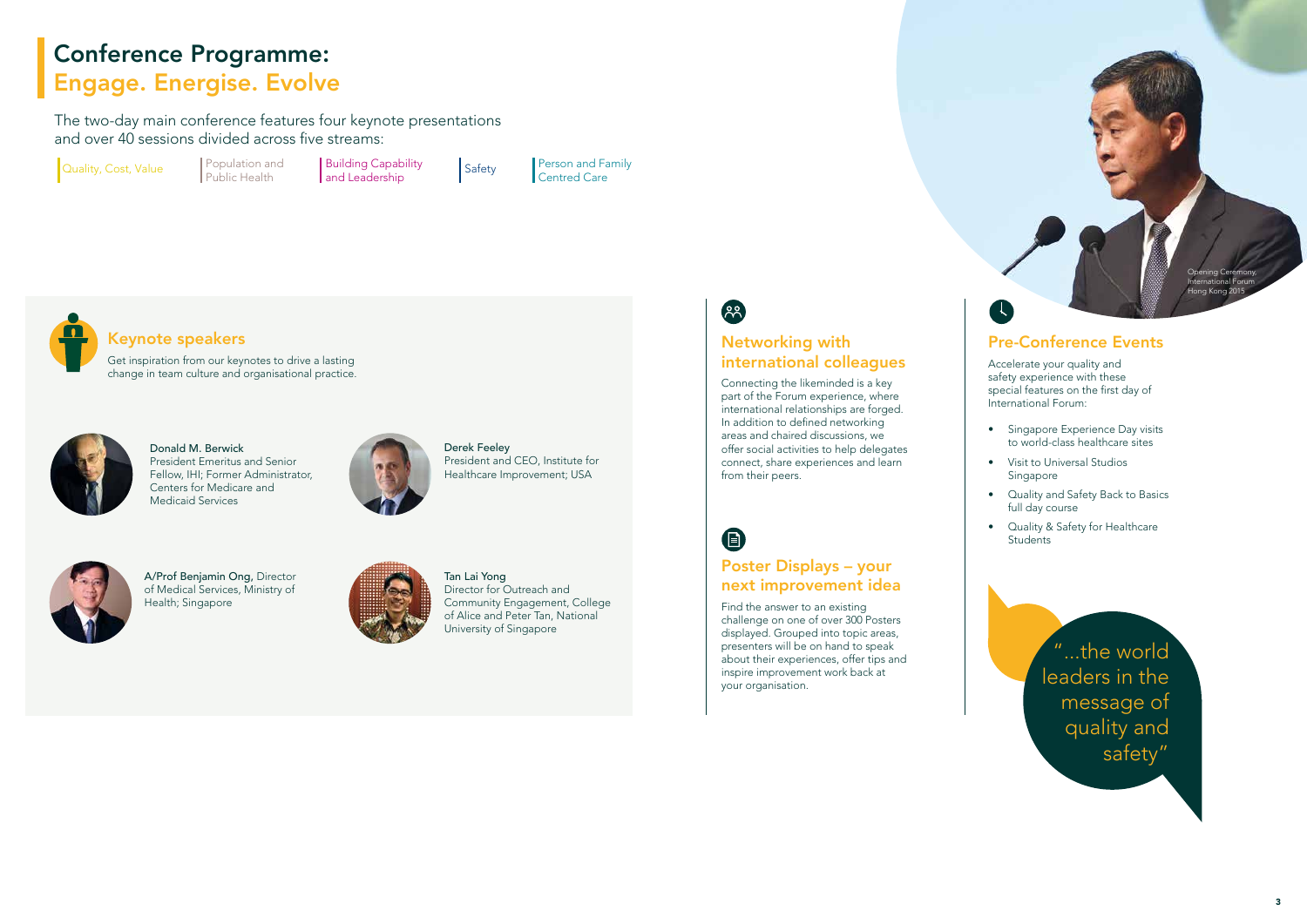### Keynote speakers

Get inspiration from our keynotes to drive a lasting change in team culture and organisational practice.

The two-day main conference features four keynote presentations and over 40 sessions divided across five streams:

Quality, Cost, Value Population and



Donald M. Berwick President Emeritus and Senior Fellow, IHI; Former Administrator, Centers for Medicare and Medicaid Services



Derek Feeley President and CEO, Institute for Healthcare Improvement; USA



A/Prof Benjamin Ong, Director of Medical Services, Ministry of Health; Singapore



Tan Lai Yong Director for Outreach and Community Engagement, College of Alice and Peter Tan, National University of Singapore



#### Networking with international colleagues

- Singapore Experience Day visits to world-class healthcare sites
- Visit to Universal Studios Singapore
- Quality and Safety Back to Basics full day course
- Quality & Safety for Healthcare Students

Connecting the likeminded is a key part of the Forum experience, where international relationships are forged. In addition to defined networking areas and chaired discussions, we offer social activities to help delegates connect, share experiences and learn from their peers.

 $\bigoplus$ 

#### Poster Displays – your next improvement idea

Find the answer to an existing challenge on one of over 300 Posters displayed. Grouped into topic areas, presenters will be on hand to speak about their experiences, offer tips and inspire improvement work back at your organisation.

#### Pre-Conference Events

Accelerate your quality and safety experience with these special features on the first day of International Forum:

> "...the world leaders in the message of quality and safety"

## Conference Programme: Engage. Energise. Evolve

Public Health

**Building Capability** and Leadership

Person and Family Safety **Person and Fa**<br>Centred Care



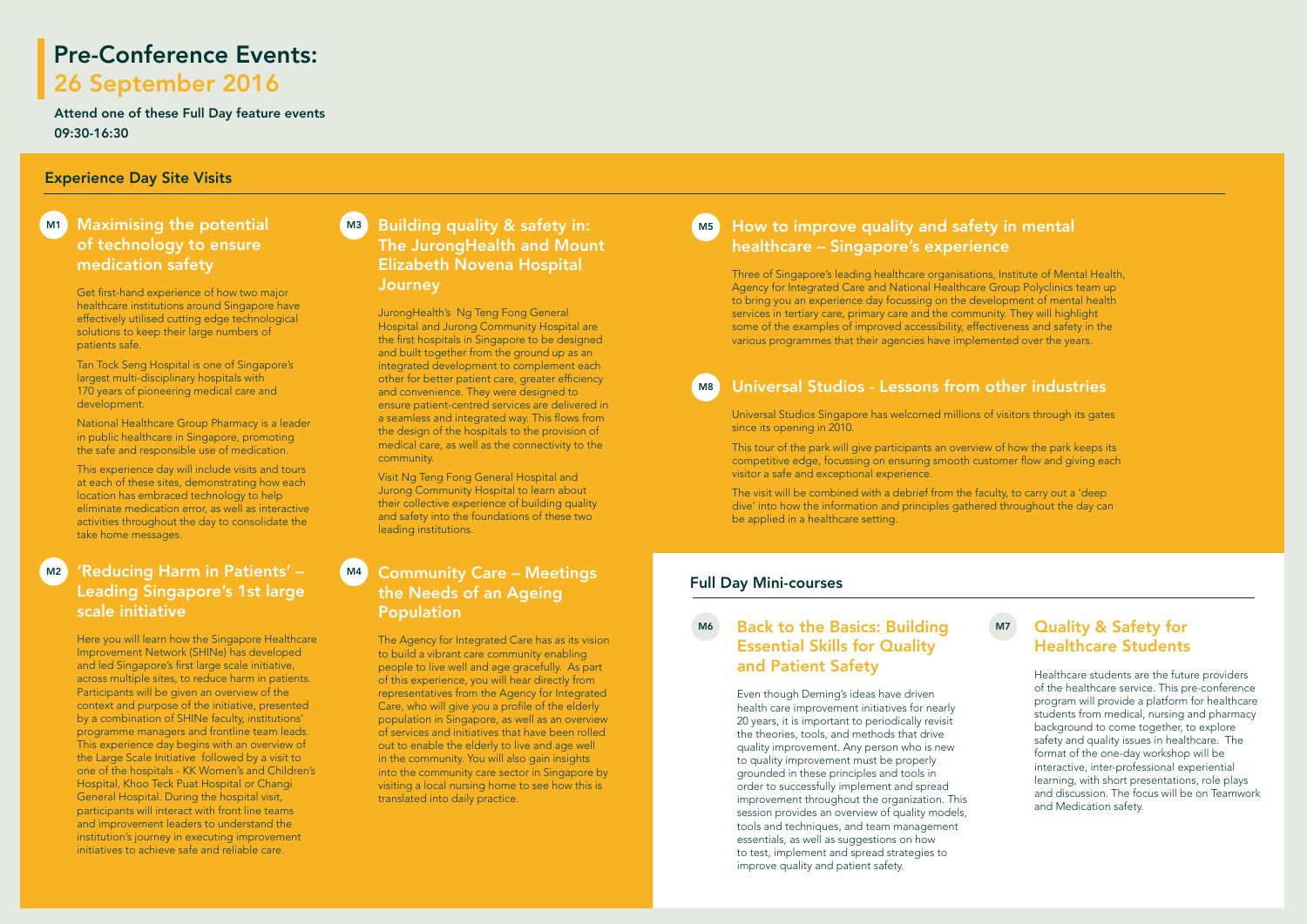### Pre-Conference Events: 26 September 2016

#### Maximising the potential of technology to ensure medication safety

Get first-hand experience of how two major healthcare institutions around Singapore have effectively utilised cutting edge technological solutions to keep their large numbers of patients safe.

Tan Tock Seng Hospital is one of Singapore's largest multi-disciplinary hospitals with 170 years of pioneering medical care and development.

National Healthcare Group Pharmacy is a leader in public healthcare in Singapore, promoting the safe and responsible use of medication.

This experience day will include visits and tours at each of these sites, demonstrating how each location has embraced technology to help eliminate medication error, as well as interactive activities throughout the day to consolidate the take home messages.

#### How to improve quality and safety in mental healthcare – Singapore's experience

#### 'Reducing Harm in Patients' – Leading Singapore's 1st large scale initiative  $M<sub>2</sub>$

Three of Singapore's leading healthcare organisations, Institute of Mental Health, Agency for Integrated Care and National Healthcare Group Polyclinics team up to bring you an experience day focussing on the development of mental health services in tertiary care, primary care and the community. They will highlight some of the examples of improved accessibility, effectiveness and safety in the various programmes that their agencies have implemented over the years.

#### Universal Studios - Lessons from other industries

#### M6 Back to the Basics: Building M7 Essential Skills for Quality and Patient Safety

Universal Studios Singapore has welcomed millions of visitors through its gates since its opening in 2010.

This tour of the park will give participants an overview of how the park keeps its competitive edge, focussing on ensuring smooth customer flow and giving each visitor a safe and exceptional experience.

The visit will be combined with a debrief from the faculty, to carry out a 'deep dive' into how the information and principles gathered throughout the day can be applied in a healthcare setting.

Here you will learn how the Singapore Healthcare Improvement Network (SHINe) has developed and led Singapore's first large scale initiative, across multiple sites, to reduce harm in patients. Participants will be given an overview of the context and purpose of the initiative, presented by a combination of SHINe faculty, institutions' programme managers and frontline team leads. This experience day begins with an overview of the Large Scale Initiative followed by a visit to one of the hospitals - KK Women's and Children's Hospital, Khoo Teck Puat Hospital or Changi General Hospital. During the hospital visit, participants will interact with front line teams and improvement leaders to understand the institution's journey in executing improvement initiatives to achieve safe and reliable care.

#### M1 Maximising the potential with M3 Building quality & safety in: which will The JurongHealth and Mount Elizabeth Novena Hospital **Journey**

Even though Deming's ideas have driven health care improvement initiatives for nearly 20 years, it is important to periodically revisit the theories, tools, and methods that drive quality improvement. Any person who is new to quality improvement must be properly grounded in these principles and tools in order to successfully implement and spread improvement throughout the organization. This session provides an overview of quality models, tools and techniques, and team management essentials, as well as suggestions on how to test, implement and spread strategies to improve quality and patient safety.

#### Quality & Safety for Healthcare Students

Healthcare students are the future providers of the healthcare service. This pre-conference program will provide a platform for healthcare students from medical, nursing and pharmacy background to come together, to explore safety and quality issues in healthcare. The format of the one-day workshop will be interactive, inter-professional experiential learning, with short presentations, role plays and discussion. The focus will be on Teamwork and Medication safety.

JurongHealth's Ng Teng Fong General Hospital and Jurong Community Hospital are the first hospitals in Singapore to be designed and built together from the ground up as an integrated development to complement each other for better patient care, greater efficiency and convenience. They were designed to ensure patient-centred services are delivered in a seamless and integrated way. This flows from the design of the hospitals to the provision of medical care, as well as the connectivity to the community.

Visit Ng Teng Fong General Hospital and Jurong Community Hospital to learn about their collective experience of building quality and safety into the foundations of these two leading institutions.

#### Community Care – Meetings the Needs of an Ageing Population M4

The Agency for Integrated Care has as its vision to build a vibrant care community enabling people to live well and age gracefully. As part of this experience, you will hear directly from representatives from the Agency for Integrated Care, who will give you a profile of the elderly population in Singapore, as well as an overview of services and initiatives that have been rolled out to enable the elderly to live and age well in the community. You will also gain insights into the community care sector in Singapore by visiting a local nursing home to see how this is translated into daily practice.

M8

Attend one of these Full Day feature events 09:30-16:30

#### Experience Day Site Visits

#### Full Day Mini-courses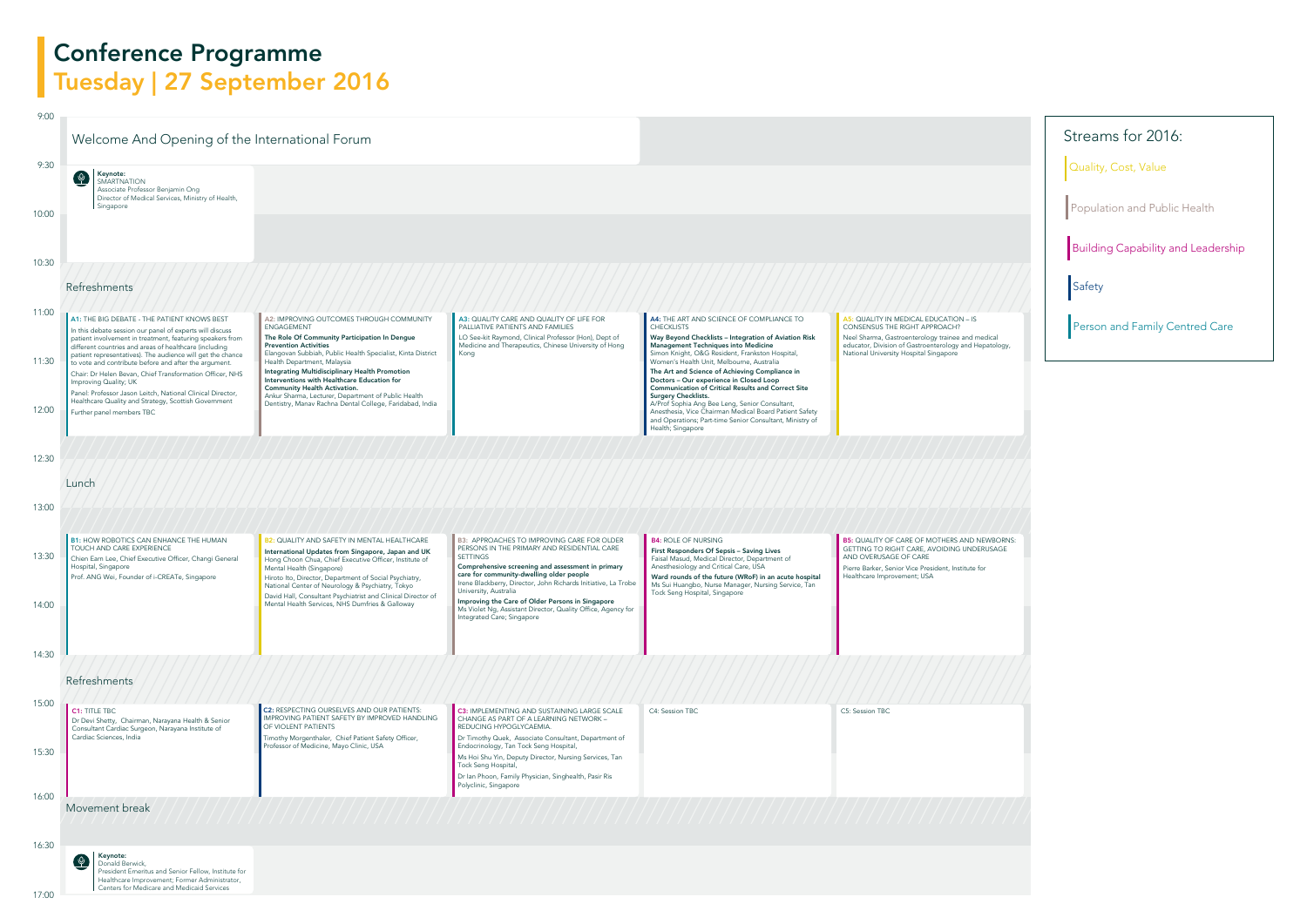

Quality, Cost, Value

**Population and Public Health** 

Building Capability and Leadership

**Safety** 

Person and Family Centred Care

| 9:00          |                                                                                                                                                                                                                                                                                                                                |                                                                                                                                                                                                                                                                                                               |                                                                                                                                                                                                                                                                                                                 |                                                                                                                                                                                                                                                                                      |                                                                                                                                                                                                                 |
|---------------|--------------------------------------------------------------------------------------------------------------------------------------------------------------------------------------------------------------------------------------------------------------------------------------------------------------------------------|---------------------------------------------------------------------------------------------------------------------------------------------------------------------------------------------------------------------------------------------------------------------------------------------------------------|-----------------------------------------------------------------------------------------------------------------------------------------------------------------------------------------------------------------------------------------------------------------------------------------------------------------|--------------------------------------------------------------------------------------------------------------------------------------------------------------------------------------------------------------------------------------------------------------------------------------|-----------------------------------------------------------------------------------------------------------------------------------------------------------------------------------------------------------------|
|               | Welcome And Opening of the International Forum                                                                                                                                                                                                                                                                                 |                                                                                                                                                                                                                                                                                                               |                                                                                                                                                                                                                                                                                                                 |                                                                                                                                                                                                                                                                                      |                                                                                                                                                                                                                 |
| 9:30<br>10:00 | Keynote:<br>Q<br>SMARTNATION<br>Associate Professor Benjamin Ong<br>Director of Medical Services, Ministry of Health,<br>Singapore                                                                                                                                                                                             |                                                                                                                                                                                                                                                                                                               |                                                                                                                                                                                                                                                                                                                 |                                                                                                                                                                                                                                                                                      |                                                                                                                                                                                                                 |
|               |                                                                                                                                                                                                                                                                                                                                |                                                                                                                                                                                                                                                                                                               |                                                                                                                                                                                                                                                                                                                 |                                                                                                                                                                                                                                                                                      |                                                                                                                                                                                                                 |
| 10:30         | Refreshments                                                                                                                                                                                                                                                                                                                   |                                                                                                                                                                                                                                                                                                               |                                                                                                                                                                                                                                                                                                                 |                                                                                                                                                                                                                                                                                      |                                                                                                                                                                                                                 |
| 11:00         | A1: THE BIG DEBATE - THE PATIENT KNOWS BEST<br>In this debate session our panel of experts will discuss<br>patient involvement in treatment, featuring speakers from<br>different countries and areas of healthcare (including                                                                                                 | A2: IMPROVING OUTCOMES THROUGH COMMUNITY<br>ENGAGEMENT<br>The Role Of Community Participation In Dengue<br><b>Prevention Activities</b>                                                                                                                                                                       | A3: QUALITY CARE AND QUALITY OF LIFE FOR<br>PALLIATIVE PATIENTS AND FAMILIES<br>LO See-kit Raymond, Clinical Professor (Hon), Dept of<br>Medicine and Therapeutics, Chinese University of Hong                                                                                                                  | A4: THE ART AND SCIENCE OF COMPLIANCE TO<br><b>CHECKLISTS</b><br>Way Beyond Checklists - Integration of Aviation Risk<br>Management Techniques into Medicine                                                                                                                         | A5: QUALITY IN MEDICAL EDUCATION - IS<br>CONSENSUS THE RIGHT APPROACH?<br>Neel Sharma, Gastroenterology trainee and medical<br>educator, Division of Gastroenterology and Hepatology,                           |
| 11:30         | patient representatives). The audience will get the chance<br>to vote and contribute before and after the argument.<br>Chair: Dr Helen Bevan, Chief Transformation Officer, NHS<br>Improving Quality; UK<br>Panel: Professor Jason Leitch, National Clinical Director,<br>Healthcare Quality and Strategy, Scottish Government | Elangovan Subbiah, Public Health Specialist, Kinta District<br>Health Department, Malaysia<br>Integrating Multidisciplinary Health Promotion<br>Interventions with Healthcare Education for<br><b>Community Health Activation.</b><br>Ankur Sharma, Lecturer, Department of Public Health                     | Kong                                                                                                                                                                                                                                                                                                            | Simon Knight, O&G Resident, Frankston Hospital,<br>Women's Health Unit, Melbourne, Australia<br>The Art and Science of Achieving Compliance in<br>Doctors - Our experience in Closed Loop<br><b>Communication of Critical Results and Correct Site</b><br><b>Surgery Checklists.</b> | National University Hospital Singapore                                                                                                                                                                          |
| 12:00         | Further panel members TBC                                                                                                                                                                                                                                                                                                      | Dentistry, Manav Rachna Dental College, Faridabad, India                                                                                                                                                                                                                                                      |                                                                                                                                                                                                                                                                                                                 | A/Prof Sophia Ang Bee Leng, Senior Consultant,<br>Anesthesia, Vice Chairman Medical Board Patient Safety<br>and Operations; Part-time Senior Consultant, Ministry of<br>Health; Singapore                                                                                            |                                                                                                                                                                                                                 |
| 12:30         |                                                                                                                                                                                                                                                                                                                                |                                                                                                                                                                                                                                                                                                               |                                                                                                                                                                                                                                                                                                                 |                                                                                                                                                                                                                                                                                      |                                                                                                                                                                                                                 |
|               | Lunch                                                                                                                                                                                                                                                                                                                          |                                                                                                                                                                                                                                                                                                               |                                                                                                                                                                                                                                                                                                                 |                                                                                                                                                                                                                                                                                      |                                                                                                                                                                                                                 |
| 13:00         |                                                                                                                                                                                                                                                                                                                                |                                                                                                                                                                                                                                                                                                               |                                                                                                                                                                                                                                                                                                                 |                                                                                                                                                                                                                                                                                      |                                                                                                                                                                                                                 |
| 13:30         | <b>B1: HOW ROBOTICS CAN ENHANCE THE HUMAN</b><br>TOUCH AND CARE EXPERIENCE<br>Chien Earn Lee, Chief Executive Officer, Changi General<br>Hospital, Singapore<br>Prof. ANG Wei, Founder of i-CREATe, Singapore                                                                                                                  | <b>B2: QUALITY AND SAFETY IN MENTAL HEALTHCARE</b><br>International Updates from Singapore, Japan and UK<br>Hong Choon Chua, Chief Executive Officer, Institute of<br>Mental Health (Singapore)<br>Hiroto Ito, Director, Department of Social Psychiatry,<br>National Center of Neurology & Psychiatry, Tokyo | <b>B3: APPROACHES TO IMPROVING CARE FOR OLDER</b><br>PERSONS IN THE PRIMARY AND RESIDENTIAL CARE<br><b>SETTINGS</b><br>Comprehensive screening and assessment in primary<br>care for community-dwelling older people<br>Irene Blackberry, Director, John Richards Initiative, La Trobe<br>University, Australia | <b>B4: ROLE OF NURSING</b><br>First Responders Of Sepsis - Saving Lives<br>Faisal Masud, Medical Director, Department of<br>Anesthesiology and Critical Care, USA<br>Ward rounds of the future (WRoF) in an acute hospital<br>Ms Sui Huangbo, Nurse Manager, Nursing Service, Tan    | <b>B5: QUALITY OF CARE OF MOTHERS AND NEWBORNS</b><br>GETTING TO RIGHT CARE, AVOIDING UNDERUSAGE<br>AND OVERUSAGE OF CARE<br>Pierre Barker, Senior Vice President, Institute for<br>Healthcare Improvement; USA |
| 14:00         |                                                                                                                                                                                                                                                                                                                                | David Hall, Consultant Psychiatrist and Clinical Director of<br>Mental Health Services, NHS Dumfries & Galloway                                                                                                                                                                                               | Improving the Care of Older Persons in Singapore<br>Ms Violet Ng, Assistant Director, Quality Office, Agency for<br>Integrated Care; Singapore                                                                                                                                                                  | Tock Seng Hospital, Singapore                                                                                                                                                                                                                                                        |                                                                                                                                                                                                                 |
| 14:30         | Refreshments                                                                                                                                                                                                                                                                                                                   |                                                                                                                                                                                                                                                                                                               |                                                                                                                                                                                                                                                                                                                 |                                                                                                                                                                                                                                                                                      |                                                                                                                                                                                                                 |
| 15:00         | <b>C1: TITLE TBC</b><br>Dr Devi Shetty, Chairman, Narayana Health & Senior<br>Consultant Cardiac Surgeon, Narayana Institute of<br>Cardiac Sciences, India                                                                                                                                                                     | <b>C2: RESPECTING OURSELVES AND OUR PATIENTS:</b><br>IMPROVING PATIENT SAFETY BY IMPROVED HANDLING<br>OF VIOLENT PATIENTS<br>Timothy Morgenthaler, Chief Patient Safety Officer,                                                                                                                              | <b>C3: IMPLEMENTING AND SUSTAINING LARGE SCALE</b><br>CHANGE AS PART OF A LEARNING NETWORK -<br>REDUCING HYPOGLYCAEMIA.<br>Dr Timothy Quek, Associate Consultant, Department of                                                                                                                                 | C4: Session TBC                                                                                                                                                                                                                                                                      | C5: Session TBC                                                                                                                                                                                                 |
| 15:30         |                                                                                                                                                                                                                                                                                                                                | Professor of Medicine, Mayo Clinic, USA                                                                                                                                                                                                                                                                       | Endocrinology, Tan Tock Seng Hospital,<br>Ms Hoi Shu Yin, Deputy Director, Nursing Services, Tan<br>Tock Seng Hospital,<br>Dr Ian Phoon, Family Physician, Singhealth, Pasir Ris<br>Polyclinic, Singapore                                                                                                       |                                                                                                                                                                                                                                                                                      |                                                                                                                                                                                                                 |
| 16:00         | Movement break                                                                                                                                                                                                                                                                                                                 |                                                                                                                                                                                                                                                                                                               |                                                                                                                                                                                                                                                                                                                 |                                                                                                                                                                                                                                                                                      |                                                                                                                                                                                                                 |
| 16:30         | Keynote:<br>$\varphi$<br>Donald Berwick,<br>President Emeritus and Senior Fellow, Institute for<br>Healthcare Improvement; Former Administrator,                                                                                                                                                                               |                                                                                                                                                                                                                                                                                                               |                                                                                                                                                                                                                                                                                                                 |                                                                                                                                                                                                                                                                                      |                                                                                                                                                                                                                 |
| 17:00         | Centers for Medicare and Medicaid Services                                                                                                                                                                                                                                                                                     |                                                                                                                                                                                                                                                                                                               |                                                                                                                                                                                                                                                                                                                 |                                                                                                                                                                                                                                                                                      |                                                                                                                                                                                                                 |



## Conference Programme Tuesday | 27 September 2016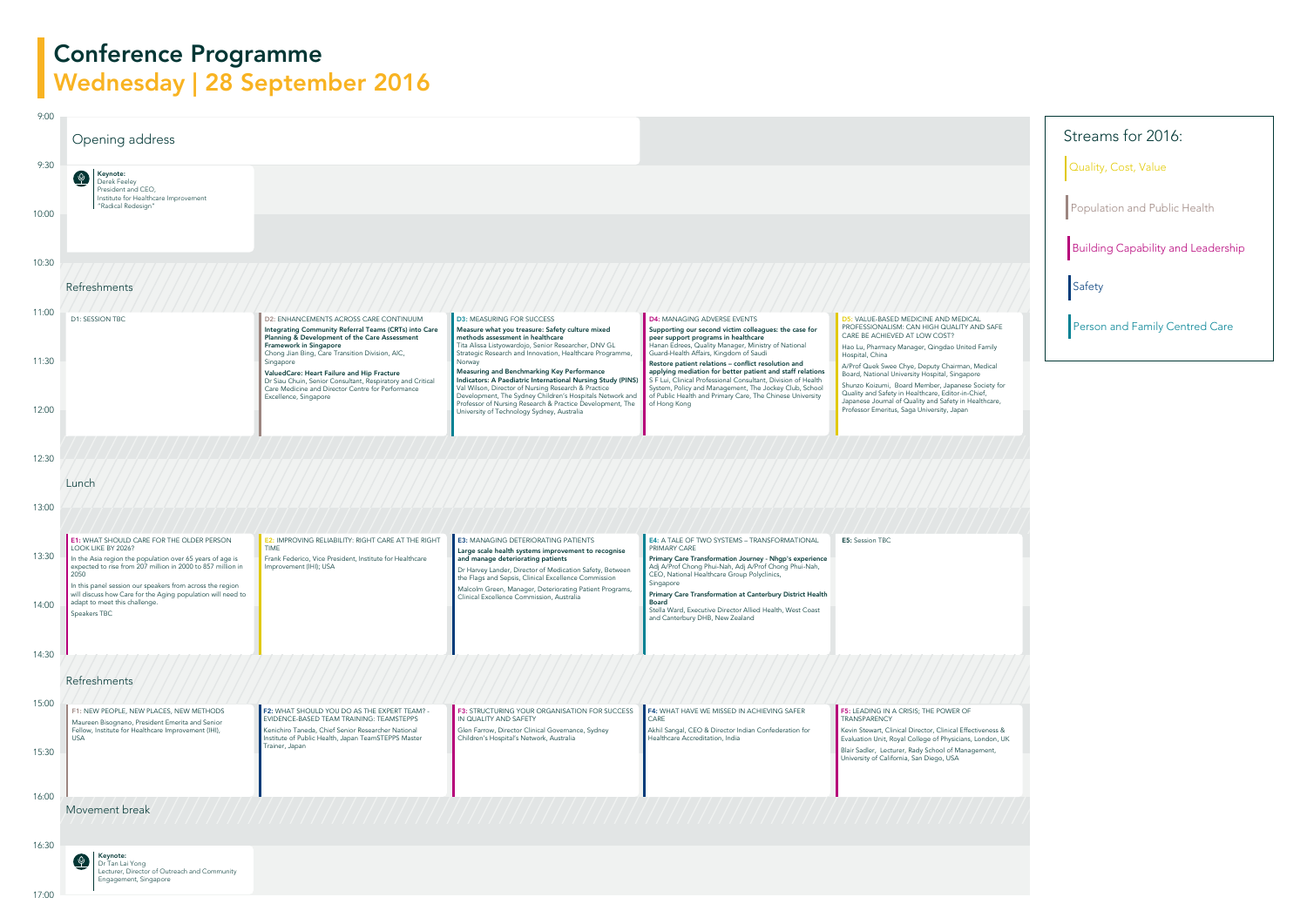## Conference Programme Wednesday | 28 September 2016





### Streams for 2016:

Quality, Cost, Value

Population and Public Health

Building Capability and Leadership

**Safety** 

Person and Family Centred Care